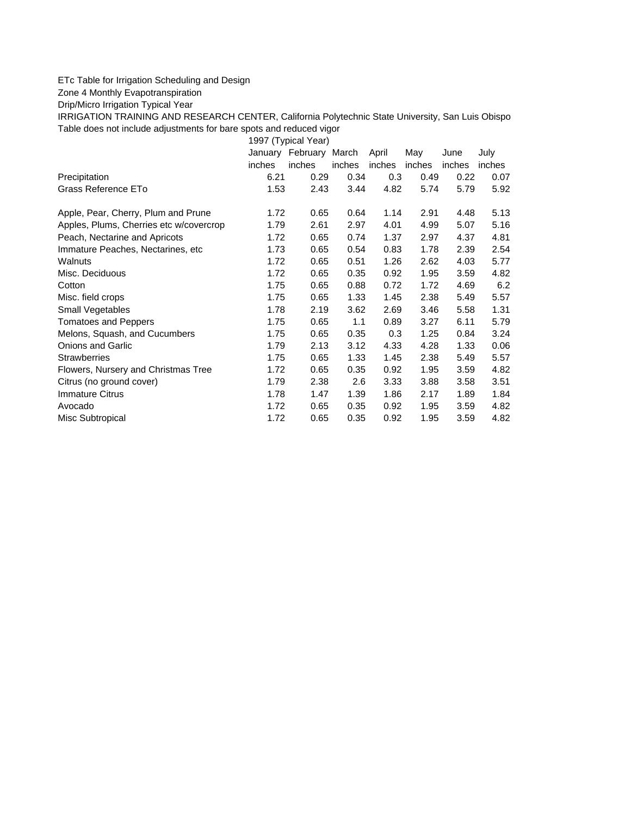## ETc Table for Irrigation Scheduling and Design

Zone 4 Monthly Evapotranspiration

Drip/Micro Irrigation Typical Year

IRRIGATION TRAINING AND RESEARCH CENTER, California Polytechnic State University, San Luis Obispo Table does not include adjustments for bare spots and reduced vigor

1997 (Typical Year)

|                                         |        | January February March |        | April  | May    | June   | July   |
|-----------------------------------------|--------|------------------------|--------|--------|--------|--------|--------|
|                                         | inches | inches                 | inches | inches | inches | inches | inches |
| Precipitation                           | 6.21   | 0.29                   | 0.34   | 0.3    | 0.49   | 0.22   | 0.07   |
| Grass Reference ETo                     | 1.53   | 2.43                   | 3.44   | 4.82   | 5.74   | 5.79   | 5.92   |
| Apple, Pear, Cherry, Plum and Prune     | 1.72   | 0.65                   | 0.64   | 1.14   | 2.91   | 4.48   | 5.13   |
| Apples, Plums, Cherries etc w/covercrop | 1.79   | 2.61                   | 2.97   | 4.01   | 4.99   | 5.07   | 5.16   |
| Peach, Nectarine and Apricots           | 1.72   | 0.65                   | 0.74   | 1.37   | 2.97   | 4.37   | 4.81   |
| Immature Peaches, Nectarines, etc.      | 1.73   | 0.65                   | 0.54   | 0.83   | 1.78   | 2.39   | 2.54   |
| Walnuts                                 | 1.72   | 0.65                   | 0.51   | 1.26   | 2.62   | 4.03   | 5.77   |
| Misc. Deciduous                         | 1.72   | 0.65                   | 0.35   | 0.92   | 1.95   | 3.59   | 4.82   |
| Cotton                                  | 1.75   | 0.65                   | 0.88   | 0.72   | 1.72   | 4.69   | 6.2    |
| Misc. field crops                       | 1.75   | 0.65                   | 1.33   | 1.45   | 2.38   | 5.49   | 5.57   |
| Small Vegetables                        | 1.78   | 2.19                   | 3.62   | 2.69   | 3.46   | 5.58   | 1.31   |
| <b>Tomatoes and Peppers</b>             | 1.75   | 0.65                   | 1.1    | 0.89   | 3.27   | 6.11   | 5.79   |
| Melons, Squash, and Cucumbers           | 1.75   | 0.65                   | 0.35   | 0.3    | 1.25   | 0.84   | 3.24   |
| <b>Onions and Garlic</b>                | 1.79   | 2.13                   | 3.12   | 4.33   | 4.28   | 1.33   | 0.06   |
| <b>Strawberries</b>                     | 1.75   | 0.65                   | 1.33   | 1.45   | 2.38   | 5.49   | 5.57   |
| Flowers, Nursery and Christmas Tree     | 1.72   | 0.65                   | 0.35   | 0.92   | 1.95   | 3.59   | 4.82   |
| Citrus (no ground cover)                | 1.79   | 2.38                   | 2.6    | 3.33   | 3.88   | 3.58   | 3.51   |
| Immature Citrus                         | 1.78   | 1.47                   | 1.39   | 1.86   | 2.17   | 1.89   | 1.84   |
| Avocado                                 | 1.72   | 0.65                   | 0.35   | 0.92   | 1.95   | 3.59   | 4.82   |
| Misc Subtropical                        | 1.72   | 0.65                   | 0.35   | 0.92   | 1.95   | 3.59   | 4.82   |